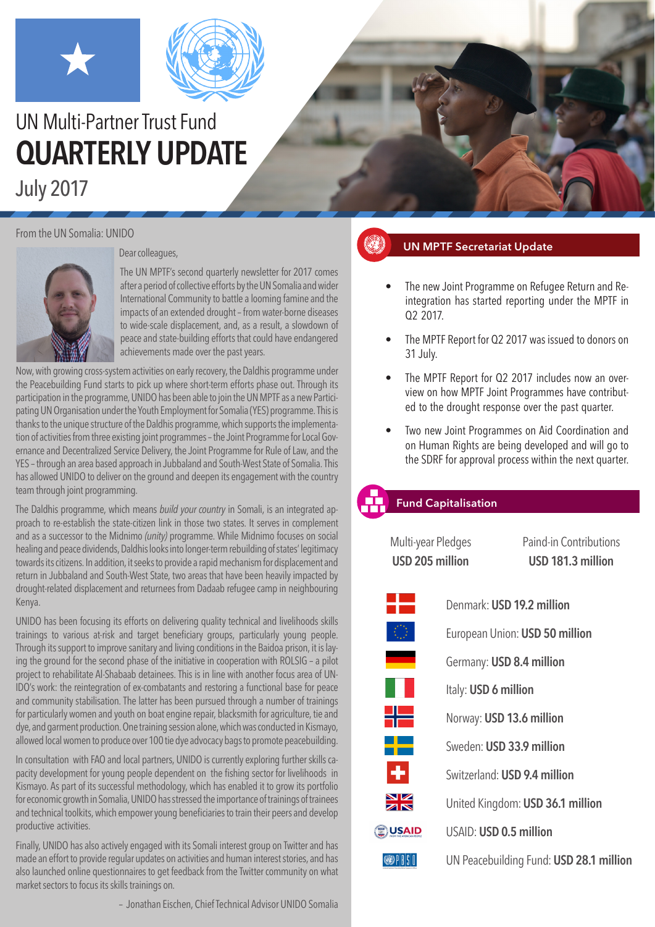



# UN Multi-Partner Trust Fund **QUARTERLY UPDATE**

July 2017

#### From the UN Somalia: UNIDO



#### Dear colleagues,

The UN MPTF's second quarterly newsletter for 2017 comes after a period of collective efforts by the UN Somalia and wider International Community to battle a looming famine and the impacts of an extended drought – from water-borne diseases to wide-scale displacement, and, as a result, a slowdown of peace and state-building efforts that could have endangered achievements made over the past years.

Now, with growing cross-system activities on early recovery, the Daldhis programme under the Peacebuilding Fund starts to pick up where short-term efforts phase out. Through its participation in the programme, UNIDO has been able to join the UN MPTF as a new Participating UN Organisation under the Youth Employment for Somalia (YES) programme. This is thanks to the unique structure of the Daldhis programme, which supports the implementation of activities from three existing joint programmes – the Joint Programme for Local Governance and Decentralized Service Delivery, the Joint Programme for Rule of Law, and the YES – through an area based approach in Jubbaland and South-West State of Somalia. This has allowed UNIDO to deliver on the ground and deepen its engagement with the country team through joint programming.

The Daldhis programme, which means *build your country* in Somali, is an integrated approach to re-establish the state-citizen link in those two states. It serves in complement and as a successor to the Midnimo *(unity)* programme. While Midnimo focuses on social healing and peace dividends, Daldhis looks into longer-term rebuilding of states' legitimacy towards its citizens. In addition, it seeks to provide a rapid mechanism for displacement and return in Jubbaland and South-West State, two areas that have been heavily impacted by drought-related displacement and returnees from Dadaab refugee camp in neighbouring Kenya.

UNIDO has been focusing its efforts on delivering quality technical and livelihoods skills trainings to various at-risk and target beneficiary groups, particularly young people. Through its support to improve sanitary and living conditions in the Baidoa prison, it is laying the ground for the second phase of the initiative in cooperation with ROLSIG – a pilot project to rehabilitate Al-Shabaab detainees. This is in line with another focus area of UN-IDO's work: the reintegration of ex-combatants and restoring a functional base for peace and community stabilisation. The latter has been pursued through a number of trainings for particularly women and youth on boat engine repair, blacksmith for agriculture, tie and dye, and garment production. One training session alone, which was conducted in Kismayo, allowed local women to produce over 100 tie dye advocacy bags to promote peacebuilding.

In consultation with FAO and local partners, UNIDO is currently exploring further skills capacity development for young people dependent on the fishing sector for livelihoods in Kismayo. As part of its successful methodology, which has enabled it to grow its portfolio for economic growth in Somalia, UNIDO has stressed the importance of trainings of trainees and technical toolkits, which empower young beneficiaries to train their peers and develop productive activities.

Finally, UNIDO has also actively engaged with its Somali interest group on Twitter and has made an effort to provide regular updates on activities and human interest stories, and has also launched online questionnaires to get feedback from the Twitter community on what market sectors to focus its skills trainings on.

– Jonathan Eischen, Chief Technical Advisor UNIDO Somalia

# **UN MPTF Secretariat Update**

- The new Joint Programme on Refugee Return and Reintegration has started reporting under the MPTF in Q2 2017.
- The MPTF Report for Q2 2017 was issued to donors on 31 July.
- The MPTF Report for Q2 2017 includes now an overview on how MPTF Joint Programmes have contributed to the drought response over the past quarter.
- Two new Joint Programmes on Aid Coordination and on Human Rights are being developed and will go to the SDRF for approval process within the next quarter.

### **Fund Capitalisation**

Multi-year Pledges Paind-in Contributions **USD 205 million USD 181.3 million**



Denmark: **USD 19.2 million** European Union: **USD 50 million** Germany: **USD 8.4 million** Italy: **USD 6 million** Norway: **USD 13.6 million** Sweden: **USD 33.9 million** Switzerland: **USD 9.4 million** United Kingdom: **USD 36.1 million** USAID: **USD 0.5 million**

 $\bigcirc$   $\bigcirc$   $\bigcirc$   $\bigcirc$ 

UN Peacebuilding Fund: **USD 28.1 million**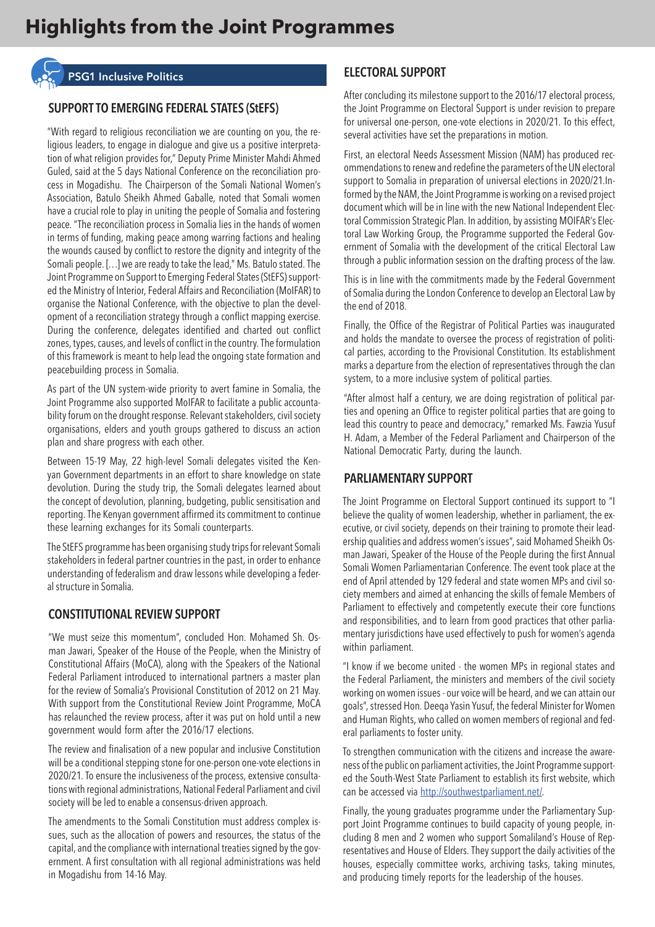

# **SUPPORT TO EMERGING FEDERAL STATES (StEFS)**

"With regard to religious reconciliation we are counting on you, the religious leaders, to engage in dialogue and give us a positive interpretation of what religion provides for," Deputy Prime Minister Mahdi Ahmed Guled, said at the 5 days National Conference on the reconciliation process in Mogadishu. The Chairperson of the Somali National Women's Association, Batulo Sheikh Ahmed Gaballe, noted that Somali women have a crucial role to play in uniting the people of Somalia and fostering peace. "The reconciliation process in Somalia lies in the hands of women in terms of funding, making peace among warring factions and healing the wounds caused by conflict to restore the dignity and integrity of the Somali people. […] we are ready to take the lead," Ms. Batulo stated. The Joint Programme on Support to Emerging Federal States (StEFS) supported the Ministry of Interior, Federal Affairs and Reconciliation (MoIFAR) to organise the National Conference, with the objective to plan the development of a reconciliation strategy through a conflict mapping exercise. During the conference, delegates identified and charted out conflict zones, types, causes, and levels of conflict in the country. The formulation of this framework is meant to help lead the ongoing state formation and peacebuilding process in Somalia.

As part of the UN system-wide priority to avert famine in Somalia, the Joint Programme also supported MoIFAR to facilitate a public accountability forum on the drought response. Relevant stakeholders, civil society organisations, elders and youth groups gathered to discuss an action plan and share progress with each other.

Between 15-19 May, 22 high-level Somali delegates visited the Kenyan Government departments in an effort to share knowledge on state devolution. During the study trip, the Somali delegates learned about the concept of devolution, planning, budgeting, public sensitisation and reporting. The Kenyan government affirmed its commitment to continue these learning exchanges for its Somali counterparts.

The StEFS programme has been organising study trips for relevant Somali stakeholders in federal partner countries in the past, in order to enhance understanding of federalism and draw lessons while developing a federal structure in Somalia.

#### **CONSTITUTIONAL REVIEW SUPPORT**

"We must seize this momentum", concluded Hon. Mohamed Sh. Osman Jawari, Speaker of the House of the People, when the Ministry of Constitutional Affairs (MoCA), along with the Speakers of the National Federal Parliament introduced to international partners a master plan for the review of Somalia's Provisional Constitution of 2012 on 21 May. With support from the Constitutional Review Joint Programme, MoCA has relaunched the review process, after it was put on hold until a new government would form after the 2016/17 elections.

The review and finalisation of a new popular and inclusive Constitution will be a conditional stepping stone for one-person one-vote elections in 2020/21. To ensure the inclusiveness of the process, extensive consultations with regional administrations, National Federal Parliament and civil society will be led to enable a consensus-driven approach.

The amendments to the Somali Constitution must address complex issues, such as the allocation of powers and resources, the status of the capital, and the compliance with international treaties signed by the government. A first consultation with all regional administrations was held in Mogadishu from 14-16 May.

#### **ELECTORAL SUPPORT**

After concluding its milestone support to the 2016/17 electoral process, the Joint Programme on Electoral Support is under revision to prepare for universal one-person, one-vote elections in 2020/21. To this effect, several activities have set the preparations in motion.

First, an electoral Needs Assessment Mission (NAM) has produced recommendations to renew and redefine the parameters of the UN electoral support to Somalia in preparation of universal elections in 2020/21.Informed by the NAM, the Joint Programme is working on a revised project document which will be in line with the new National Independent Electoral Commission Strategic Plan. In addition, by assisting MOIFAR's Electoral Law Working Group, the Programme supported the Federal Government of Somalia with the development of the critical Electoral Law through a public information session on the drafting process of the law.

This is in line with the commitments made by the Federal Government of Somalia during the London Conference to develop an Electoral Law by the end of 2018.

Finally, the Office of the Registrar of Political Parties was inaugurated and holds the mandate to oversee the process of registration of political parties, according to the Provisional Constitution. Its establishment marks a departure from the election of representatives through the clan system, to a more inclusive system of political parties.

"After almost half a century, we are doing registration of political parties and opening an Office to register political parties that are going to lead this country to peace and democracy," remarked Ms. Fawzia Yusuf H. Adam, a Member of the Federal Parliament and Chairperson of the National Democratic Party, during the launch.

#### **PARLIAMENTARY SUPPORT**

The Joint Programme on Electoral Support continued its support to "I believe the quality of women leadership, whether in parliament, the executive, or civil society, depends on their training to promote their leadership qualities and address women's issues", said Mohamed Sheikh Osman Jawari, Speaker of the House of the People during the first Annual Somali Women Parliamentarian Conference. The event took place at the end of April attended by 129 federal and state women MPs and civil society members and aimed at enhancing the skills of female Members of Parliament to effectively and competently execute their core functions and responsibilities, and to learn from good practices that other parliamentary jurisdictions have used effectively to push for women's agenda within parliament.

"I know if we become united - the women MPs in regional states and the Federal Parliament, the ministers and members of the civil society working on women issues - our voice will be heard, and we can attain our goals", stressed Hon. Deeqa Yasin Yusuf, the federal Minister for Women and Human Rights, who called on women members of regional and federal parliaments to foster unity.

To strengthen communication with the citizens and increase the awareness of the public on parliament activities, the Joint Programme supported the South-West State Parliament to establish its first website, which can be accessed via http://southwestparliament.net/.

Finally, the young graduates programme under the Parliamentary Support Joint Programme continues to build capacity of young people, including 8 men and 2 women who support Somaliland's House of Representatives and House of Elders. They support the daily activities of the houses, especially committee works, archiving tasks, taking minutes, and producing timely reports for the leadership of the houses.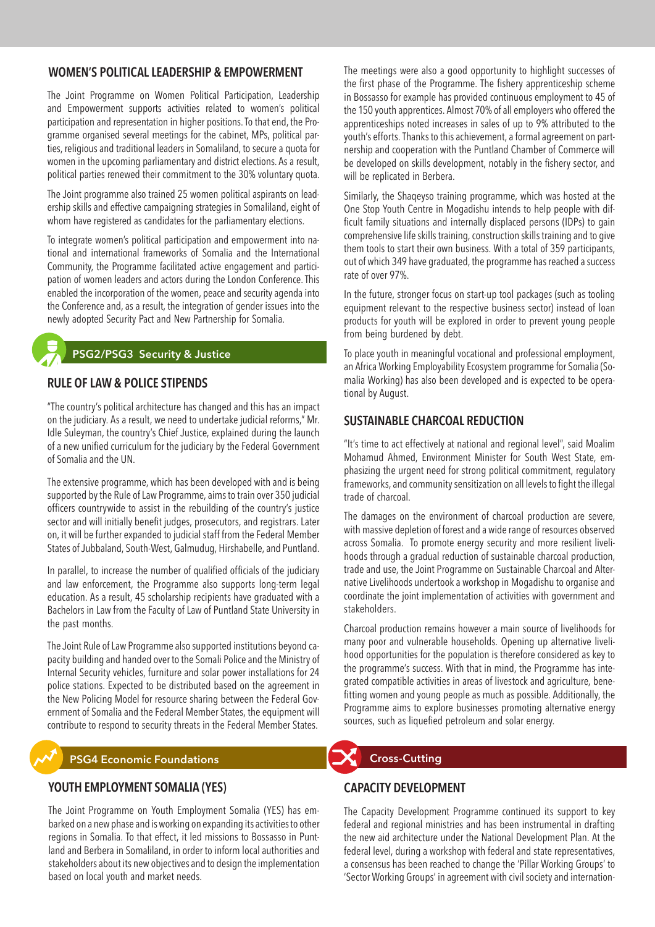#### **WOMEN'S POLITICAL LEADERSHIP & EMPOWERMENT**

The Joint Programme on Women Political Participation, Leadership and Empowerment supports activities related to women's political participation and representation in higher positions. To that end, the Programme organised several meetings for the cabinet, MPs, political parties, religious and traditional leaders in Somaliland, to secure a quota for women in the upcoming parliamentary and district elections. As a result, political parties renewed their commitment to the 30% voluntary quota.

The Joint programme also trained 25 women political aspirants on leadership skills and effective campaigning strategies in Somaliland, eight of whom have registered as candidates for the parliamentary elections.

To integrate women's political participation and empowerment into national and international frameworks of Somalia and the International Community, the Programme facilitated active engagement and participation of women leaders and actors during the London Conference. This enabled the incorporation of the women, peace and security agenda into the Conference and, as a result, the integration of gender issues into the newly adopted Security Pact and New Partnership for Somalia.

#### **PSG2/PSG3 Security & Justice**

#### **RULE OF LAW & POLICE STIPENDS**

"The country's political architecture has changed and this has an impact on the judiciary. As a result, we need to undertake judicial reforms," Mr. Idle Suleyman, the country's Chief Justice, explained during the launch of a new unified curriculum for the judiciary by the Federal Government of Somalia and the UN.

The extensive programme, which has been developed with and is being supported by the Rule of Law Programme, aims to train over 350 judicial officers countrywide to assist in the rebuilding of the country's justice sector and will initially benefit judges, prosecutors, and registrars. Later on, it will be further expanded to judicial staff from the Federal Member States of Jubbaland, South-West, Galmudug, Hirshabelle, and Puntland.

In parallel, to increase the number of qualified officials of the judiciary and law enforcement, the Programme also supports long-term legal education. As a result, 45 scholarship recipients have graduated with a Bachelors in Law from the Faculty of Law of Puntland State University in the past months.

The Joint Rule of Law Programme also supported institutions beyond capacity building and handed over to the Somali Police and the Ministry of Internal Security vehicles, furniture and solar power installations for 24 police stations. Expected to be distributed based on the agreement in the New Policing Model for resource sharing between the Federal Government of Somalia and the Federal Member States, the equipment will contribute to respond to security threats in the Federal Member States.

#### **PSG4 Economic Foundations CROSS-Cutting**

#### **YOUTH EMPLOYMENT SOMALIA (YES)**

The Joint Programme on Youth Employment Somalia (YES) has embarked on a new phase and is working on expanding its activities to other regions in Somalia. To that effect, it led missions to Bossasso in Puntland and Berbera in Somaliland, in order to inform local authorities and stakeholders about its new objectives and to design the implementation based on local youth and market needs.

The meetings were also a good opportunity to highlight successes of the first phase of the Programme. The fishery apprenticeship scheme in Bossasso for example has provided continuous employment to 45 of the 150 youth apprentices. Almost 70% of all employers who offered the apprenticeships noted increases in sales of up to 9% attributed to the youth's efforts. Thanks to this achievement, a formal agreement on partnership and cooperation with the Puntland Chamber of Commerce will be developed on skills development, notably in the fishery sector, and will be replicated in Berbera.

Similarly, the Shaqeyso training programme, which was hosted at the One Stop Youth Centre in Mogadishu intends to help people with difficult family situations and internally displaced persons (IDPs) to gain comprehensive life skills training, construction skills training and to give them tools to start their own business. With a total of 359 participants, out of which 349 have graduated, the programme has reached a success rate of over 97%.

In the future, stronger focus on start-up tool packages (such as tooling equipment relevant to the respective business sector) instead of loan products for youth will be explored in order to prevent young people from being burdened by debt.

To place youth in meaningful vocational and professional employment, an Africa Working Employability Ecosystem programme for Somalia (Somalia Working) has also been developed and is expected to be operational by August.

#### **SUSTAINABLE CHARCOAL REDUCTION**

"It's time to act effectively at national and regional level", said Moalim Mohamud Ahmed, Environment Minister for South West State, emphasizing the urgent need for strong political commitment, regulatory frameworks, and community sensitization on all levels to fight the illegal trade of charcoal.

The damages on the environment of charcoal production are severe, with massive depletion of forest and a wide range of resources observed across Somalia. To promote energy security and more resilient livelihoods through a gradual reduction of sustainable charcoal production, trade and use, the Joint Programme on Sustainable Charcoal and Alternative Livelihoods undertook a workshop in Mogadishu to organise and coordinate the joint implementation of activities with government and stakeholders.

Charcoal production remains however a main source of livelihoods for many poor and vulnerable households. Opening up alternative livelihood opportunities for the population is therefore considered as key to the programme's success. With that in mind, the Programme has integrated compatible activities in areas of livestock and agriculture, benefitting women and young people as much as possible. Additionally, the Programme aims to explore businesses promoting alternative energy sources, such as liquefied petroleum and solar energy.

#### **CAPACITY DEVELOPMENT**

The Capacity Development Programme continued its support to key federal and regional ministries and has been instrumental in drafting the new aid architecture under the National Development Plan. At the federal level, during a workshop with federal and state representatives, a consensus has been reached to change the 'Pillar Working Groups' to 'Sector Working Groups' in agreement with civil society and internation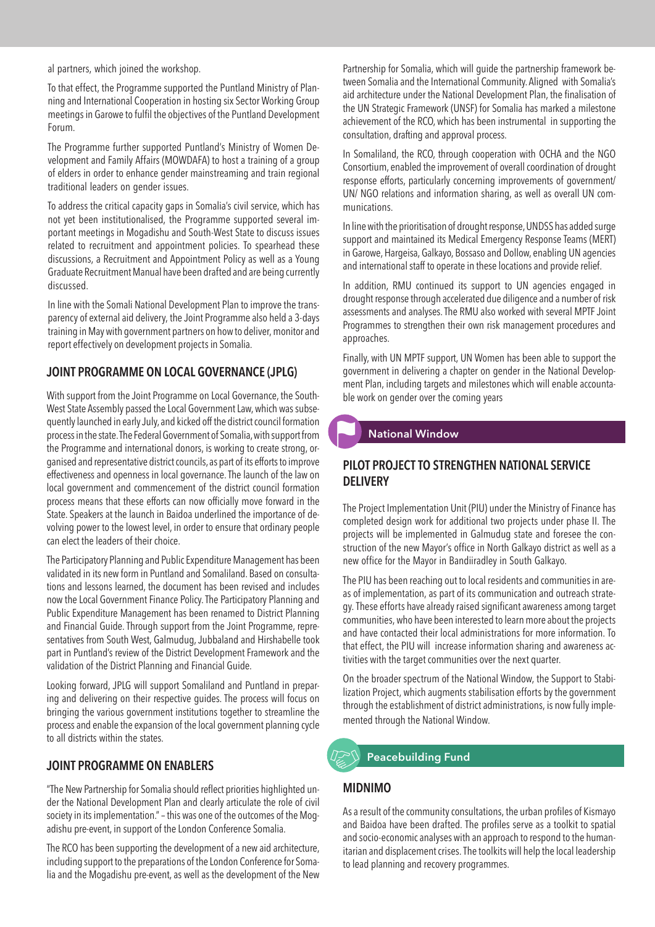al partners, which joined the workshop.

To that effect, the Programme supported the Puntland Ministry of Planning and International Cooperation in hosting six Sector Working Group meetings in Garowe to fulfil the objectives of the Puntland Development Forum.

The Programme further supported Puntland's Ministry of Women Development and Family Affairs (MOWDAFA) to host a training of a group of elders in order to enhance gender mainstreaming and train regional traditional leaders on gender issues.

To address the critical capacity gaps in Somalia's civil service, which has not yet been institutionalised, the Programme supported several important meetings in Mogadishu and South-West State to discuss issues related to recruitment and appointment policies. To spearhead these discussions, a Recruitment and Appointment Policy as well as a Young Graduate Recruitment Manual have been drafted and are being currently discussed.

In line with the Somali National Development Plan to improve the transparency of external aid delivery, the Joint Programme also held a 3-days training in May with government partners on how to deliver, monitor and report effectively on development projects in Somalia.

#### **JOINT PROGRAMME ON LOCAL GOVERNANCE (JPLG)**

With support from the Joint Programme on Local Governance, the South-West State Assembly passed the Local Government Law, which was subsequently launched in early July, and kicked off the district council formation process in the state. The Federal Government of Somalia, with support from the Programme and international donors, is working to create strong, organised and representative district councils, as part of its efforts to improve effectiveness and openness in local governance. The launch of the law on local government and commencement of the district council formation process means that these efforts can now officially move forward in the State. Speakers at the launch in Baidoa underlined the importance of devolving power to the lowest level, in order to ensure that ordinary people can elect the leaders of their choice.

The Participatory Planning and Public Expenditure Management has been validated in its new form in Puntland and Somaliland. Based on consultations and lessons learned, the document has been revised and includes now the Local Government Finance Policy. The Participatory Planning and Public Expenditure Management has been renamed to District Planning and Financial Guide. Through support from the Joint Programme, representatives from South West, Galmudug, Jubbaland and Hirshabelle took part in Puntland's review of the District Development Framework and the validation of the District Planning and Financial Guide.

Looking forward, JPLG will support Somaliland and Puntland in preparing and delivering on their respective guides. The process will focus on bringing the various government institutions together to streamline the process and enable the expansion of the local government planning cycle to all districts within the states.

#### **JOINT PROGRAMME ON ENABLERS**

"The New Partnership for Somalia should reflect priorities highlighted under the National Development Plan and clearly articulate the role of civil society in its implementation." – this was one of the outcomes of the Mogadishu pre-event, in support of the London Conference Somalia.

The RCO has been supporting the development of a new aid architecture, including support to the preparations of the London Conference for Somalia and the Mogadishu pre-event, as well as the development of the New Partnership for Somalia, which will guide the partnership framework between Somalia and the International Community. Aligned with Somalia's aid architecture under the National Development Plan, the finalisation of the UN Strategic Framework (UNSF) for Somalia has marked a milestone achievement of the RCO, which has been instrumental in supporting the consultation, drafting and approval process.

In Somaliland, the RCO, through cooperation with OCHA and the NGO Consortium, enabled the improvement of overall coordination of drought response efforts, particularly concerning improvements of government/ UN/ NGO relations and information sharing, as well as overall UN communications.

In line with the prioritisation of drought response, UNDSS has added surge support and maintained its Medical Emergency Response Teams (MERT) in Garowe, Hargeisa, Galkayo, Bossaso and Dollow, enabling UN agencies and international staff to operate in these locations and provide relief.

In addition, RMU continued its support to UN agencies engaged in drought response through accelerated due diligence and a number of risk assessments and analyses. The RMU also worked with several MPTF Joint Programmes to strengthen their own risk management procedures and approaches.

Finally, with UN MPTF support, UN Women has been able to support the government in delivering a chapter on gender in the National Development Plan, including targets and milestones which will enable accountable work on gender over the coming years

#### **National Window**

#### **PILOT PROJECT TO STRENGTHEN NATIONAL SERVICE DELIVERY**

The Project Implementation Unit (PIU) under the Ministry of Finance has completed design work for additional two projects under phase II. The projects will be implemented in Galmudug state and foresee the construction of the new Mayor's office in North Galkayo district as well as a new office for the Mayor in Bandiiradley in South Galkayo.

The PIU has been reaching out to local residents and communities in areas of implementation, as part of its communication and outreach strategy. These efforts have already raised significant awareness among target communities, who have been interested to learn more about the projects and have contacted their local administrations for more information. To that effect, the PIU will increase information sharing and awareness activities with the target communities over the next quarter.

On the broader spectrum of the National Window, the Support to Stabilization Project, which augments stabilisation efforts by the government through the establishment of district administrations, is now fully implemented through the National Window.

# **Peacebuilding Fund**

#### **MIDNIMO**

As a result of the community consultations, the urban profiles of Kismayo and Baidoa have been drafted. The profiles serve as a toolkit to spatial and socio-economic analyses with an approach to respond to the humanitarian and displacement crises. The toolkits will help the local leadership to lead planning and recovery programmes.